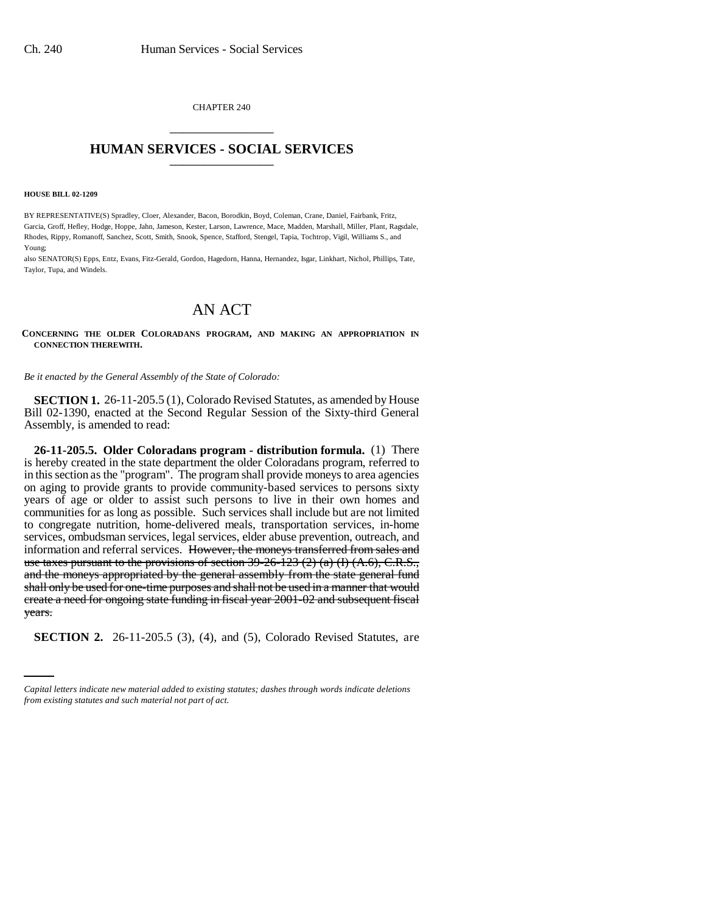CHAPTER 240 \_\_\_\_\_\_\_\_\_\_\_\_\_\_\_

## **HUMAN SERVICES - SOCIAL SERVICES** \_\_\_\_\_\_\_\_\_\_\_\_\_\_\_

#### **HOUSE BILL 02-1209**

BY REPRESENTATIVE(S) Spradley, Cloer, Alexander, Bacon, Borodkin, Boyd, Coleman, Crane, Daniel, Fairbank, Fritz, Garcia, Groff, Hefley, Hodge, Hoppe, Jahn, Jameson, Kester, Larson, Lawrence, Mace, Madden, Marshall, Miller, Plant, Ragsdale, Rhodes, Rippy, Romanoff, Sanchez, Scott, Smith, Snook, Spence, Stafford, Stengel, Tapia, Tochtrop, Vigil, Williams S., and Young;

also SENATOR(S) Epps, Entz, Evans, Fitz-Gerald, Gordon, Hagedorn, Hanna, Hernandez, Isgar, Linkhart, Nichol, Phillips, Tate, Taylor, Tupa, and Windels.

# AN ACT

### **CONCERNING THE OLDER COLORADANS PROGRAM, AND MAKING AN APPROPRIATION IN CONNECTION THEREWITH.**

*Be it enacted by the General Assembly of the State of Colorado:*

**SECTION 1.** 26-11-205.5 (1), Colorado Revised Statutes, as amended by House Bill 02-1390, enacted at the Second Regular Session of the Sixty-third General Assembly, is amended to read:

years. **26-11-205.5. Older Coloradans program - distribution formula.** (1) There is hereby created in the state department the older Coloradans program, referred to in this section as the "program". The program shall provide moneys to area agencies on aging to provide grants to provide community-based services to persons sixty years of age or older to assist such persons to live in their own homes and communities for as long as possible. Such services shall include but are not limited to congregate nutrition, home-delivered meals, transportation services, in-home services, ombudsman services, legal services, elder abuse prevention, outreach, and information and referral services. However, the moneys transferred from sales and use taxes pursuant to the provisions of section  $39-26-123$  (2) (a) (I) (A.6), C.R.S., and the moneys appropriated by the general assembly from the state general fund shall only be used for one-time purposes and shall not be used in a manner that would create a need for ongoing state funding in fiscal year 2001-02 and subsequent fiscal

**SECTION 2.** 26-11-205.5 (3), (4), and (5), Colorado Revised Statutes, are

*Capital letters indicate new material added to existing statutes; dashes through words indicate deletions from existing statutes and such material not part of act.*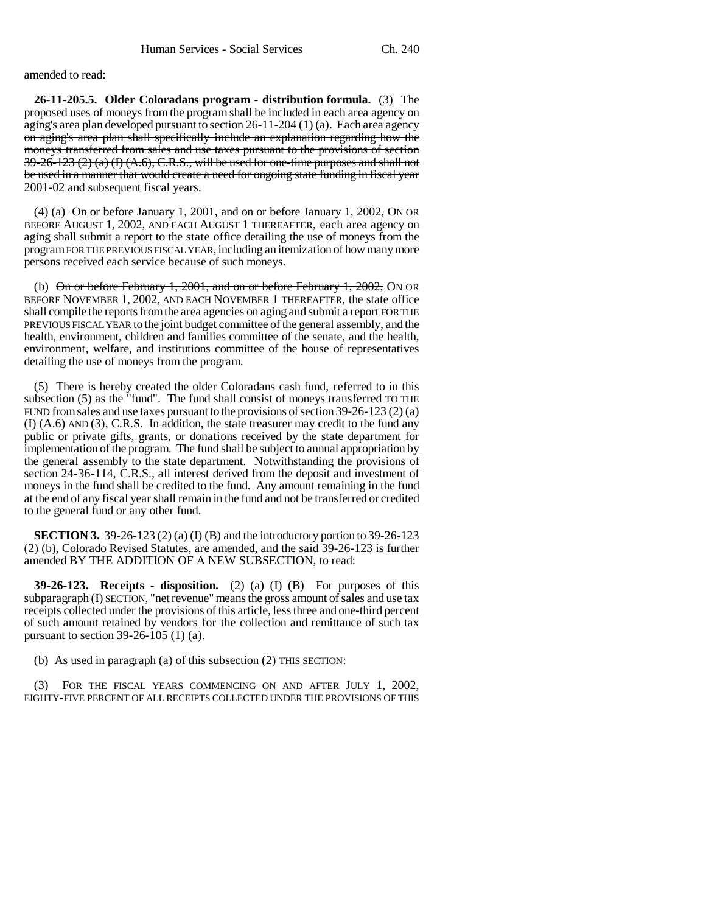amended to read:

**26-11-205.5. Older Coloradans program - distribution formula.** (3) The proposed uses of moneys from the program shall be included in each area agency on aging's area plan developed pursuant to section  $26-11-204$  (1) (a). Each area agency on aging's area plan shall specifically include an explanation regarding how the moneys transferred from sales and use taxes pursuant to the provisions of section  $39-26-123$  (2) (a) (I) (A.6), C.R.S., will be used for one-time purposes and shall not be used in a manner that would create a need for ongoing state funding in fiscal year 2001-02 and subsequent fiscal years.

(4) (a)  $\Theta$  or before January 1, 2001, and on or before January 1, 2002, ON OR BEFORE AUGUST 1, 2002, AND EACH AUGUST 1 THEREAFTER, each area agency on aging shall submit a report to the state office detailing the use of moneys from the program FOR THE PREVIOUS FISCAL YEAR, including an itemization of how many more persons received each service because of such moneys.

(b) On or before February 1, 2001, and on or before February 1, 2002, ON OR BEFORE NOVEMBER 1, 2002, AND EACH NOVEMBER 1 THEREAFTER, the state office shall compile the reports from the area agencies on aging and submit a report FOR THE PREVIOUS FISCAL YEAR to the joint budget committee of the general assembly, and the health, environment, children and families committee of the senate, and the health, environment, welfare, and institutions committee of the house of representatives detailing the use of moneys from the program.

(5) There is hereby created the older Coloradans cash fund, referred to in this subsection (5) as the "fund". The fund shall consist of moneys transferred TO THE FUND from sales and use taxes pursuant to the provisions of section 39-26-123 (2) (a) (I) (A.6) AND (3), C.R.S. In addition, the state treasurer may credit to the fund any public or private gifts, grants, or donations received by the state department for implementation of the program. The fund shall be subject to annual appropriation by the general assembly to the state department. Notwithstanding the provisions of section 24-36-114, C.R.S., all interest derived from the deposit and investment of moneys in the fund shall be credited to the fund. Any amount remaining in the fund at the end of any fiscal year shall remain in the fund and not be transferred or credited to the general fund or any other fund.

**SECTION 3.** 39-26-123 (2) (a) (I) (B) and the introductory portion to 39-26-123 (2) (b), Colorado Revised Statutes, are amended, and the said 39-26-123 is further amended BY THE ADDITION OF A NEW SUBSECTION, to read:

**39-26-123. Receipts - disposition.** (2) (a) (I) (B) For purposes of this subparagraph (I) SECTION, "net revenue" means the gross amount of sales and use tax receipts collected under the provisions of this article, less three and one-third percent of such amount retained by vendors for the collection and remittance of such tax pursuant to section 39-26-105 (1) (a).

(b) As used in paragraph (a) of this subsection  $(2)$  THIS SECTION:

(3) FOR THE FISCAL YEARS COMMENCING ON AND AFTER JULY 1, 2002, EIGHTY-FIVE PERCENT OF ALL RECEIPTS COLLECTED UNDER THE PROVISIONS OF THIS